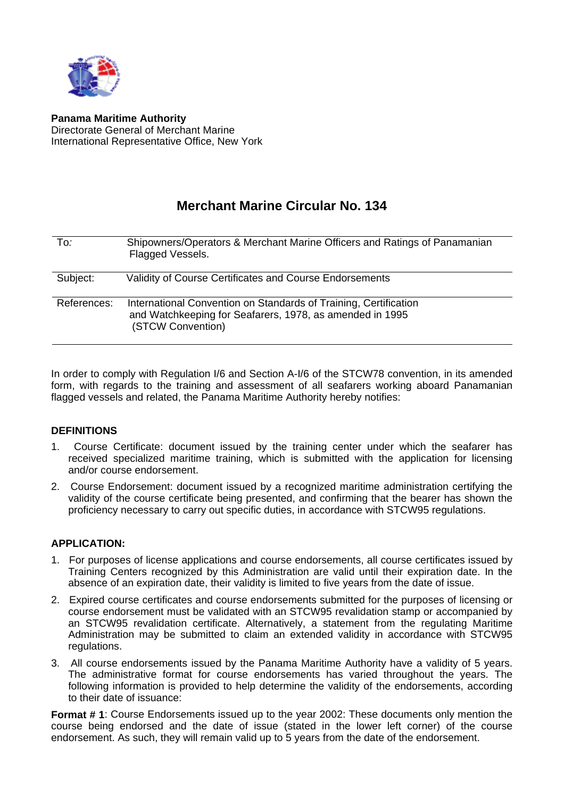

**Panama Maritime Authority** Directorate General of Merchant Marine International Representative Office, New York

## **Merchant Marine Circular No. 134**

| To:         | Shipowners/Operators & Merchant Marine Officers and Ratings of Panamanian<br>Flagged Vessels.                                                     |
|-------------|---------------------------------------------------------------------------------------------------------------------------------------------------|
| Subject:    | Validity of Course Certificates and Course Endorsements                                                                                           |
| References: | International Convention on Standards of Training, Certification<br>and Watchkeeping for Seafarers, 1978, as amended in 1995<br>(STCW Convention) |

In order to comply with Regulation I/6 and Section A-I/6 of the STCW78 convention, in its amended form, with regards to the training and assessment of all seafarers working aboard Panamanian flagged vessels and related, the Panama Maritime Authority hereby notifies:

## **DEFINITIONS**

- 1. Course Certificate: document issued by the training center under which the seafarer has received specialized maritime training, which is submitted with the application for licensing and/or course endorsement.
- 2. Course Endorsement: document issued by a recognized maritime administration certifying the validity of the course certificate being presented, and confirming that the bearer has shown the proficiency necessary to carry out specific duties, in accordance with STCW95 regulations.

## **APPLICATION:**

- 1. For purposes of license applications and course endorsements, all course certificates issued by Training Centers recognized by this Administration are valid until their expiration date. In the absence of an expiration date, their validity is limited to five years from the date of issue.
- 2. Expired course certificates and course endorsements submitted for the purposes of licensing or course endorsement must be validated with an STCW95 revalidation stamp or accompanied by an STCW95 revalidation certificate. Alternatively, a statement from the regulating Maritime Administration may be submitted to claim an extended validity in accordance with STCW95 regulations.
- 3. All course endorsements issued by the Panama Maritime Authority have a validity of 5 years. The administrative format for course endorsements has varied throughout the years. The following information is provided to help determine the validity of the endorsements, according to their date of issuance:

**Format # 1**: Course Endorsements issued up to the year 2002: These documents only mention the course being endorsed and the date of issue (stated in the lower left corner) of the course endorsement. As such, they will remain valid up to 5 years from the date of the endorsement.